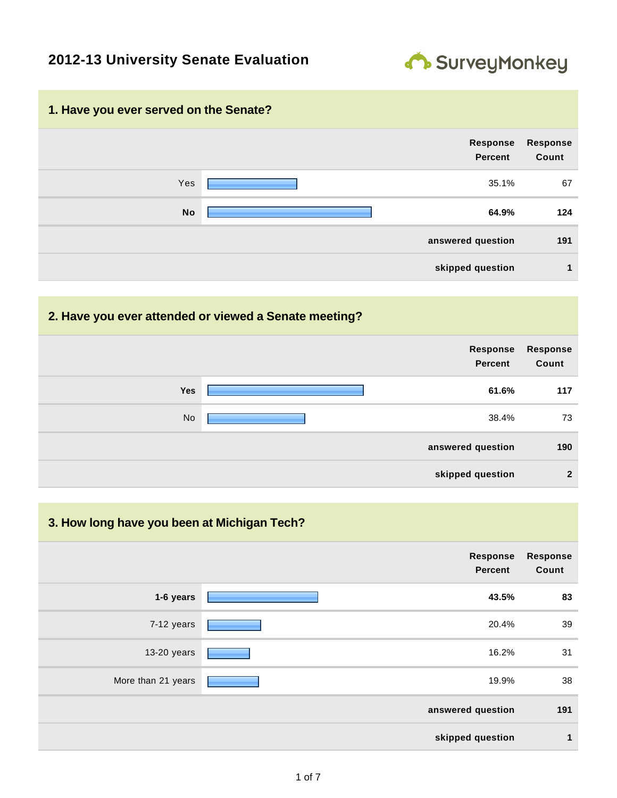### **2012-13 University Senate Evaluation**



# **1. Have you ever served on the Senate? Response Percent Response Count** Yes 25.1% 67 **No 64.9% 124 answered question 191 skipped question 1**

#### **2. Have you ever attended or viewed a Senate meeting?**

|            | Response<br><b>Percent</b> | <b>Response</b><br>Count |
|------------|----------------------------|--------------------------|
| <b>Yes</b> | 61.6%                      | 117                      |
| No         | 38.4%                      | 73                       |
|            | answered question          | 190                      |
|            | skipped question           | $\overline{2}$           |

#### **3. How long have you been at Michigan Tech?**

|                    | Response<br><b>Percent</b> | <b>Response</b><br>Count |
|--------------------|----------------------------|--------------------------|
| 1-6 years          | 43.5%                      | 83                       |
| 7-12 years         | 20.4%                      | 39                       |
| 13-20 years        | 16.2%                      | 31                       |
| More than 21 years | 19.9%                      | 38                       |
|                    | answered question          | 191                      |
|                    | skipped question           | 1                        |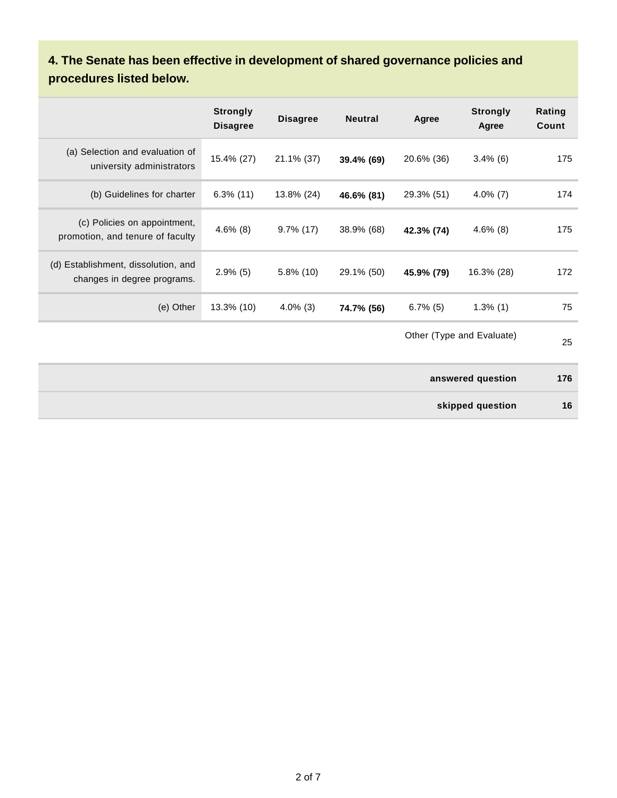## **4. The Senate has been effective in development of shared governance policies and procedures listed below.**

|                                                                    | <b>Strongly</b><br><b>Disagree</b> | <b>Disagree</b> | <b>Neutral</b> | Agree       | <b>Strongly</b><br>Agree  | Rating<br>Count |
|--------------------------------------------------------------------|------------------------------------|-----------------|----------------|-------------|---------------------------|-----------------|
| (a) Selection and evaluation of<br>university administrators       | 15.4% (27)                         | 21.1% (37)      | 39.4% (69)     | 20.6% (36)  | $3.4\%$ (6)               | 175             |
| (b) Guidelines for charter                                         | $6.3\%$ (11)                       | 13.8% (24)      | 46.6% (81)     | 29.3% (51)  | $4.0\%$ (7)               | 174             |
| (c) Policies on appointment,<br>promotion, and tenure of faculty   | $4.6\%$ (8)                        | $9.7\%$ (17)    | 38.9% (68)     | 42.3% (74)  | $4.6\%$ (8)               | 175             |
| (d) Establishment, dissolution, and<br>changes in degree programs. | $2.9\%$ (5)                        | $5.8\%$ (10)    | 29.1% (50)     | 45.9% (79)  | 16.3% (28)                | 172             |
| (e) Other                                                          | 13.3% (10)                         | $4.0\%$ (3)     | 74.7% (56)     | $6.7\%$ (5) | $1.3\%$ (1)               | 75              |
|                                                                    |                                    |                 |                |             | Other (Type and Evaluate) | 25              |
|                                                                    |                                    |                 |                |             | answered question         | 176             |
|                                                                    |                                    |                 |                |             | skipped question          | 16              |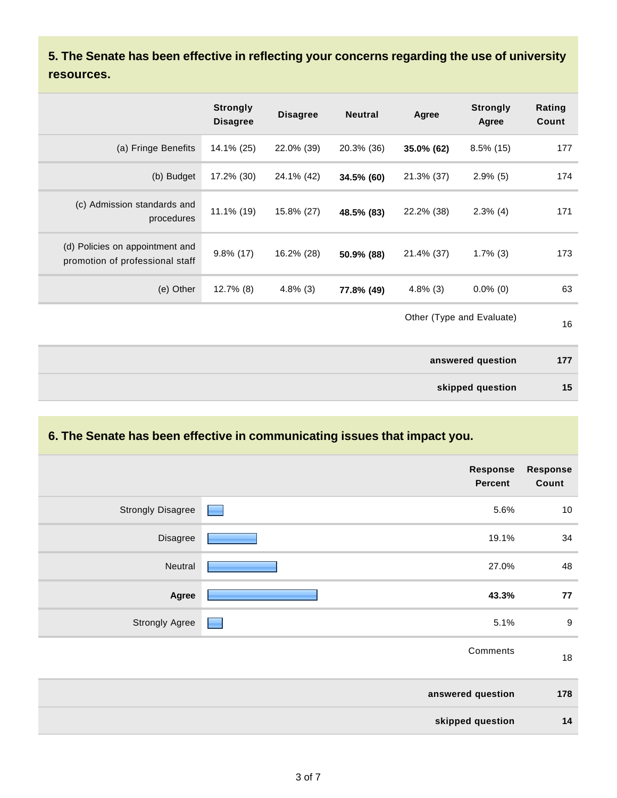**5. The Senate has been effective in reflecting your concerns regarding the use of university resources.**

|                                                                    | <b>Strongly</b><br><b>Disagree</b> | <b>Disagree</b> | <b>Neutral</b> | Agree       | <b>Strongly</b><br>Agree  | Rating<br>Count |
|--------------------------------------------------------------------|------------------------------------|-----------------|----------------|-------------|---------------------------|-----------------|
| (a) Fringe Benefits                                                | 14.1% (25)                         | 22.0% (39)      | 20.3% (36)     | 35.0% (62)  | $8.5\%$ (15)              | 177             |
| (b) Budget                                                         | 17.2% (30)                         | 24.1% (42)      | 34.5% (60)     | 21.3% (37)  | $2.9\%$ (5)               | 174             |
| (c) Admission standards and<br>procedures                          | 11.1% (19)                         | 15.8% (27)      | 48.5% (83)     | 22.2% (38)  | $2.3\%$ (4)               | 171             |
| (d) Policies on appointment and<br>promotion of professional staff | $9.8\%$ (17)                       | 16.2% (28)      | 50.9% (88)     | 21.4% (37)  | $1.7\%$ (3)               | 173             |
| (e) Other                                                          | $12.7\%$ (8)                       | $4.8\%$ (3)     | 77.8% (49)     | $4.8\%$ (3) | $0.0\%$ (0)               | 63              |
|                                                                    |                                    |                 |                |             | Other (Type and Evaluate) | 16              |

| answered question | 177 |
|-------------------|-----|
| skipped question  | 15  |

### **6. The Senate has been effective in communicating issues that impact you.**

|                          | <b>Response</b><br><b>Percent</b> | <b>Response</b><br>Count |
|--------------------------|-----------------------------------|--------------------------|
| <b>Strongly Disagree</b> | 5.6%                              | $10\,$                   |
| Disagree                 | 19.1%                             | 34                       |
| Neutral                  | 27.0%                             | 48                       |
| Agree                    | 43.3%                             | 77                       |
| <b>Strongly Agree</b>    | 5.1%                              | $9\,$                    |
|                          | Comments                          | $18$                     |
|                          | answered question                 | 178                      |
|                          | skipped question                  | 14                       |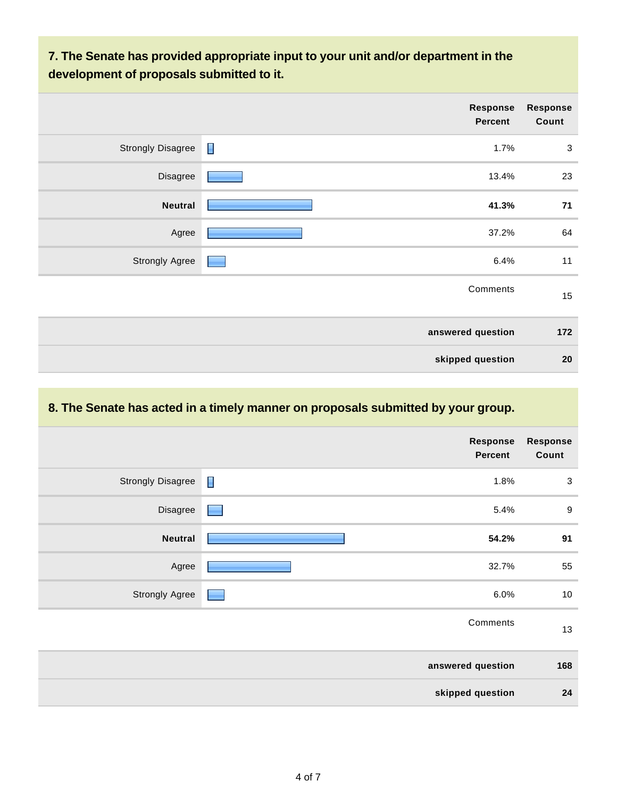### **7. The Senate has provided appropriate input to your unit and/or department in the development of proposals submitted to it.**

|                          | Response<br>Percent    | <b>Response</b><br>Count |
|--------------------------|------------------------|--------------------------|
| <b>Strongly Disagree</b> | $\blacksquare$<br>1.7% | $\mathbf{3}$             |
| Disagree                 | 13.4%                  | 23                       |
| <b>Neutral</b>           | 41.3%                  | 71                       |
| Agree                    | 37.2%                  | 64                       |
| <b>Strongly Agree</b>    | 6.4%                   | 11                       |
|                          | Comments               | 15                       |
|                          | answered question      | 172                      |
|                          | skipped question       | 20                       |

### **8. The Senate has acted in a timely manner on proposals submitted by your group.**

|                          | <b>Response</b><br><b>Percent</b> | <b>Response</b><br>Count |
|--------------------------|-----------------------------------|--------------------------|
| <b>Strongly Disagree</b> | $\blacksquare$<br>1.8%            | $\mathbf 3$              |
| Disagree                 | 5.4%                              | $9\,$                    |
| <b>Neutral</b>           | 54.2%                             | 91                       |
| Agree                    | 32.7%                             | 55                       |
| <b>Strongly Agree</b>    | 6.0%                              | $10$                     |
|                          | Comments                          | 13                       |
|                          | answered question                 | 168                      |
|                          | skipped question                  | 24                       |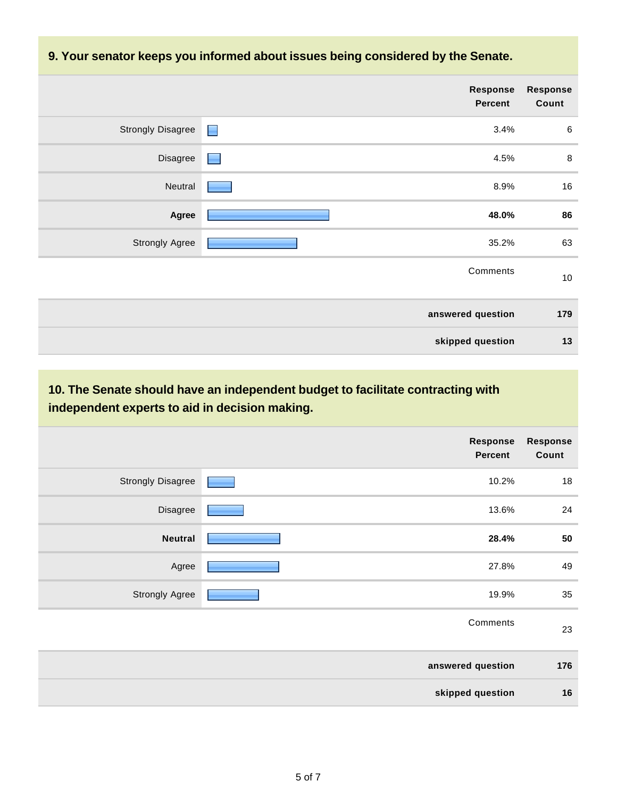#### **9. Your senator keeps you informed about issues being considered by the Senate.**

| <b>Response</b><br><b>Percent</b>          | <b>Response</b><br>Count |
|--------------------------------------------|--------------------------|
| <b>Strongly Disagree</b><br>3.4%<br>$\Box$ | $\,6$                    |
| Disagree<br>4.5%<br>٠                      | $\, 8$                   |
| Neutral<br>8.9%                            | $16\,$                   |
| 48.0%<br>Agree                             | 86                       |
| <b>Strongly Agree</b><br>35.2%             | 63                       |
| Comments                                   | $10$                     |
| answered question                          | 179                      |
| skipped question                           | 13                       |

### **10. The Senate should have an independent budget to facilitate contracting with independent experts to aid in decision making.**

| Response<br><b>Response</b><br><b>Percent</b> |                          |
|-----------------------------------------------|--------------------------|
| 10.2%                                         | <b>Strongly Disagree</b> |
| 13.6%                                         | Disagree                 |
| 28.4%                                         | <b>Neutral</b>           |
| 27.8%                                         | Agree                    |
| 19.9%                                         | <b>Strongly Agree</b>    |
| Comments                                      |                          |
| answered question                             |                          |
| skipped question                              |                          |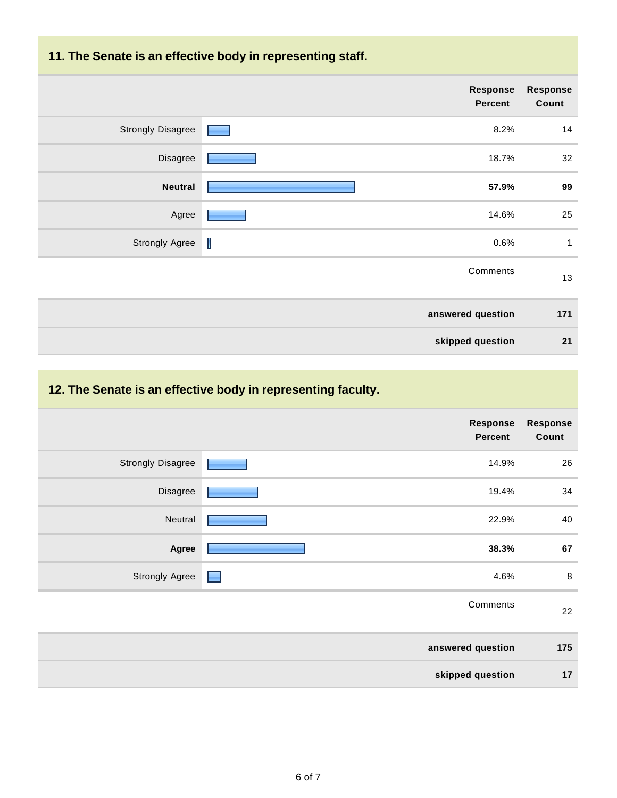### **11. The Senate is an effective body in representing staff.**

|                          |   | <b>Response</b><br><b>Percent</b> | <b>Response</b><br>Count |
|--------------------------|---|-----------------------------------|--------------------------|
| <b>Strongly Disagree</b> |   | 8.2%                              | 14                       |
| Disagree                 |   | 18.7%                             | 32                       |
| <b>Neutral</b>           |   | 57.9%                             | 99                       |
| Agree                    |   | 14.6%                             | 25                       |
| <b>Strongly Agree</b>    | T | 0.6%                              | 1                        |
|                          |   | Comments                          | 13                       |
|                          |   | answered question                 | 171                      |
|                          |   | skipped question                  | 21                       |

## **12. The Senate is an effective body in representing faculty.**

|                          | Response<br><b>Percent</b> | <b>Response</b><br>Count |
|--------------------------|----------------------------|--------------------------|
| <b>Strongly Disagree</b> | 14.9%                      | 26                       |
| Disagree                 | 19.4%                      | 34                       |
| Neutral                  | 22.9%                      | 40                       |
| Agree                    | 38.3%                      | 67                       |
| <b>Strongly Agree</b>    | 4.6%<br>۰                  | $\bf8$                   |
|                          | Comments                   | 22                       |
|                          | answered question          | 175                      |
|                          | skipped question           | 17                       |